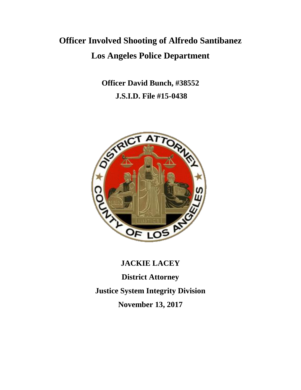# **Officer Involved Shooting of Alfredo Santibanez Los Angeles Police Department**

**Officer David Bunch, #38552 J.S.I.D. File #15-0438**



# **JACKIE LACEY**

**District Attorney Justice System Integrity Division November 13, 2017**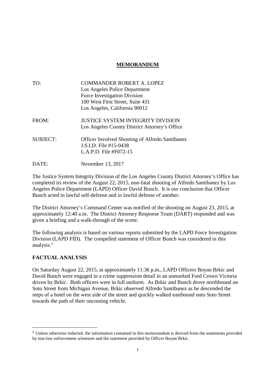## **MEMORANDUM**

| TO:             | <b>COMMANDER ROBERT A. LOPEZ</b>                                                                             |
|-----------------|--------------------------------------------------------------------------------------------------------------|
|                 | Los Angeles Police Department                                                                                |
|                 | Force Investigation Division                                                                                 |
|                 | 100 West First Street, Suite 431                                                                             |
|                 | Los Angeles, California 90012                                                                                |
| FROM:           | JUSTICE SYSTEM INTEGRITY DIVISION<br>Los Angeles County District Attorney's Office                           |
| <b>SUBJECT:</b> | <b>Officer Involved Shooting of Alfredo Santibanez</b><br>J.S.I.D. File #15-0438<br>L.A.P.D. File $#F072-15$ |
| DATE:           | November 13, 2017                                                                                            |

The Justice System Integrity Division of the Los Angeles County District Attorney's Office has completed its review of the August 22, 2015, non-fatal shooting of Alfredo Santibanez by Los Angeles Police Department (LAPD) Officer David Bunch. It is our conclusion that Officer Bunch acted in lawful self-defense and in lawful defense of another.

The District Attorney's Command Center was notified of the shooting on August 23, 2015, at approximately 12:40 a.m. The District Attorney Response Team (DART) responded and was given a briefing and a walk-through of the scene.

The following analysis is based on various reports submitted by the LAPD Force Investigation Division (LAPD FID). The compelled statement of Officer Bunch was considered in this analysis.<sup>1</sup>

## **FACTUAL ANALYSIS**

On Saturday August 22, 2015, at approximately 11:36 p.m., LAPD Officers Boyan Brkic and David Bunch were engaged in a crime suppression detail in an unmarked Ford Crown Victoria driven by Brkic. Both officers were in full uniform. As Brkic and Bunch drove northbound on Soto Street from Michigan Avenue, Brkic observed Alfredo Santibanez as he descended the steps of a hotel on the west side of the street and quickly walked eastbound onto Soto Street towards the path of their oncoming vehicle.

<sup>1</sup> Unless otherwise redacted, the information contained in this memorandum is derived from the statements provided by non-law enforcement witnesses and the statement provided by Officer Boyan Brkic.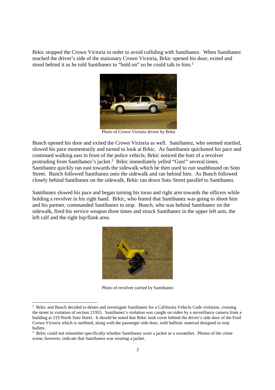Brkic stopped the Crown Victoria in order to avoid colliding with Santibanez. When Santibanez reached the driver's side of the stationary Crown Victoria, Brkic opened his door, exited and stood behind it as he told Santibanez to "hold on" so he could talk to him.<sup>2</sup>



Photo of Crown Victoria driven by Brkic

Bunch opened his door and exited the Crown Victoria as well. Santibanez, who seemed startled, slowed his pace momentarily and turned to look at Brkic. As Santibanez quickened his pace and continued walking east in front of the police vehicle, Brkic noticed the butt of a revolver protruding from Santibanez's jacket.<sup>3</sup> Brkic immediately yelled "Gun!" several times. Santibanez quickly ran east towards the sidewalk which he then used to run southbound on Soto Street. Bunch followed Santibanez onto the sidewalk and ran behind him. As Bunch followed closely behind Santibanez on the sidewalk, Brkic ran down Soto Street parallel to Santibanez.

Santibanez slowed his pace and began turning his torso and right arm towards the officers while holding a revolver in his right hand. Brkic, who feared that Santibanez was going to shoot him and his partner, commanded Santibanez to stop. Bunch, who was behind Santibanez on the sidewalk, fired his service weapon three times and struck Santibanez in the upper left arm, the left calf and the right hip/flank area.



Photo of revolver carried by Santibanez

<sup>&</sup>lt;sup>2</sup> Brkic and Bunch decided to detain and investigate Santibanez for a California Vehicle Code violation, crossing the street in violation of section 21955. Santibanez's violation was caught on video by a surveillance camera from a building at 219 North Soto Street. It should be noted that Brkic took cover behind the driver's side door of the Ford Crown Victoria which is outfitted, along with the passenger side door, with ballistic material designed to stop bullets.

<sup>&</sup>lt;sup>3</sup> Brkic could not remember specifically whether Santibanez wore a jacket or a sweatshirt. Photos of the crime scene, however, indicate that Santibanez was wearing a jacket.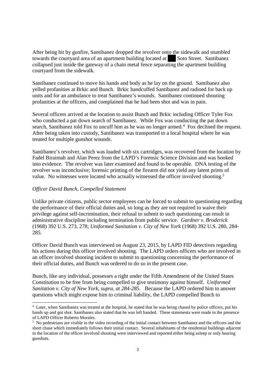After being hit by gunfire, Santibanez dropped the revolver onto the sidewalk and stumbled towards the courtyard area of an apartment building located at Soto Street. Santibanez collapsed just inside the gateway of a chain metal fence separating the apartment building courtyard from the sidewalk.

Santibanez continued to move his hands and body as he lay on the ground. Santibanez also yelled profanities at Brkic and Bunch. Brkic handcuffed Santibanez and radioed for back up units and for an ambulance to treat Santibanez's wounds. Santibanez continued shouting profanities at the officers, and complained that he had been shot and was in pain.

Several officers arrived at the location to assist Bunch and Brkic including Officer Tyler Fox who conducted a pat down search of Santibanez. While Fox was conducting the pat down search, Santibanez told Fox to uncuff him as he was no longer armed.<sup>4</sup> Fox declined the request. After being taken into custody, Santibanez was transported to a local hospital where he was treated for multiple gunshot wounds.

Santibanez's revolver, which was loaded with six cartridges, was recovered from the location by Fadel Biraimah and Alan Perez from the LAPD's Forensic Science Division and was booked into evidence. The revolver was later examined and found to be operable. DNA testing of the revolver was inconclusive; forensic printing of the firearm did not yield any latent prints of value. No witnesses were located who actually witnessed the officer involved shooting.<sup>5</sup>

#### *Officer David Bunch, Compelled Statement*

Unlike private citizens, public sector employees can be forced to submit to questioning regarding the performance of their official duties and, so long as they are not required to waive their privilege against self-incrimination, their refusal to submit to such questioning can result in administrative discipline including termination from public service. *Gardner v. Broderick* (1968) 392 U.S. 273, 278; *Uniformed Sanitation v. City of New York* (1968) 392 U.S. 280, 284- 285.

Officer David Bunch was interviewed on August 23, 2015, by LAPD FID detectives regarding his actions during this officer involved shooting. The LAPD orders officers who are involved in an officer involved shooting incident to submit to questioning concerning the performance of their official duties, and Bunch was ordered to do so in the present case.

Bunch, like any individual, possesses a right under the Fifth Amendment of the United States Constitution to be free from being compelled to give testimony against himself. *Uniformed Sanitation v. City of New York, supra, at 284-285.* Because the LAPD ordered him to answer questions which might expose him to criminal liability, the LAPD compelled Bunch to

<sup>4</sup> Later, when Santibanez was treated at the hospital, he stated that he was being chased by police officers, put his hands up and got shot. Santibanez also stated that he was left handed. These statements were made in the presence of LAPD Officer Roberto Morales.

<sup>5</sup> No pedestrians are visible in the video recording of the initial contact between Santibanez and the officers and the short chase which immediately follows their initial contact. Several inhabitants of the residential buildings adjacent to the location of the officer involved shooting were interviewed and reported either being asleep or only hearing gunshots.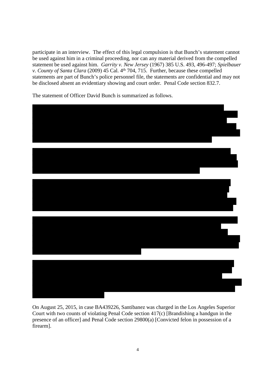participate in an interview. The effect of this legal compulsion is that Bunch's statement cannot be used against him in a criminal proceeding, nor can any material derived from the compelled statement be used against him. *Garrity v. New Jersey* (1967) 385 U.S. 493, 496-497; *Spielbauer v. County of Santa Clara* (2009) 45 Cal. 4<sup>th</sup> 704, 715. Further, because these compelled statements are part of Bunch's police personnel file, the statements are confidential and may not be disclosed absent an evidentiary showing and court order. Penal Code section 832.7.

The statement of Officer David Bunch is summarized as follows.



On August 25, 2015, in case BA439226, Santibanez was charged in the Los Angeles Superior Court with two counts of violating Penal Code section 417(c) [Brandishing a handgun in the presence of an officer] and Penal Code section 29800(a) [Convicted felon in possession of a firearm].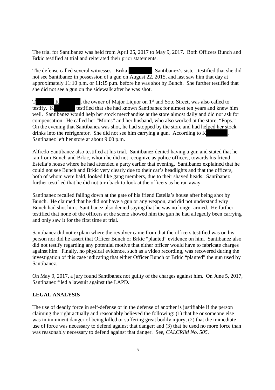The trial for Santibanez was held from April 25, 2017 to May 9, 2017. Both Officers Bunch and Brkic testified at trial and reiterated their prior statements.

The defense called several witnesses. Erika , Santibanez's sister, testified that she did not see Santibanez in possession of a gun on August 22, 2015, and last saw him that day at approximately 11:10 p.m. or 11:15 p.m. before he was shot by Bunch. She further testified that she did not see a gun on the sidewalk after he was shot.

T K , the owner of Major Liquor on 1<sup>st</sup> and Soto Street, was also called to testify. K testified that she had known Santibanez for almost ten years and knew him well. Santibanez would help her stock merchandise at the store almost daily and did not ask for compensation. He called her "Moms" and her husband, who also worked at the store, "Pops." On the evening that Santibanez was shot, he had stopped by the store and had helped her stock drinks into the refrigerator. She did not see him carrying a gun. According to K Santibanez left her store at about 9:00 p.m.

Alfredo Santibanez also testified at his trial. Santibanez denied having a gun and stated that he ran from Bunch and Brkic, whom he did not recognize as police officers, towards his friend Estella's house where he had attended a party earlier that evening. Santibanez explained that he could not see Bunch and Brkic very clearly due to their car's headlights and that the officers, both of whom were bald, looked like gang members, due to their shaved heads. Santibanez further testified that he did not turn back to look at the officers as he ran away.

Santibanez recalled falling down at the gate of his friend Estella's house after being shot by Bunch. He claimed that he did not have a gun or any weapon, and did not understand why Bunch had shot him. Santibanez also denied saying that he was no longer armed. He further testified that none of the officers at the scene showed him the gun he had allegedly been carrying and only saw it for the first time at trial.

Santibanez did not explain where the revolver came from that the officers testified was on his person nor did he assert that Officer Bunch or Brkic "planted" evidence on him. Santibanez also did not testify regarding any potential motive that either officer would have to fabricate charges against him. Finally, no physical evidence, such as a video recording, was recovered during the investigation of this case indicating that either Officer Bunch or Brkic "planted" the gun used by Santibanez.

On May 9, 2017, a jury found Santibanez not guilty of the charges against him. On June 5, 2017, Santibanez filed a lawsuit against the LAPD.

### **LEGAL ANALYSIS**

The use of deadly force in self-defense or in the defense of another is justifiable if the person claiming the right actually and reasonably believed the following: (1) that he or someone else was in imminent danger of being killed or suffering great bodily injury; (2) that the immediate use of force was necessary to defend against that danger; and (3) that he used no more force than was reasonably necessary to defend against that danger. See, *CALCRIM No. 505*.